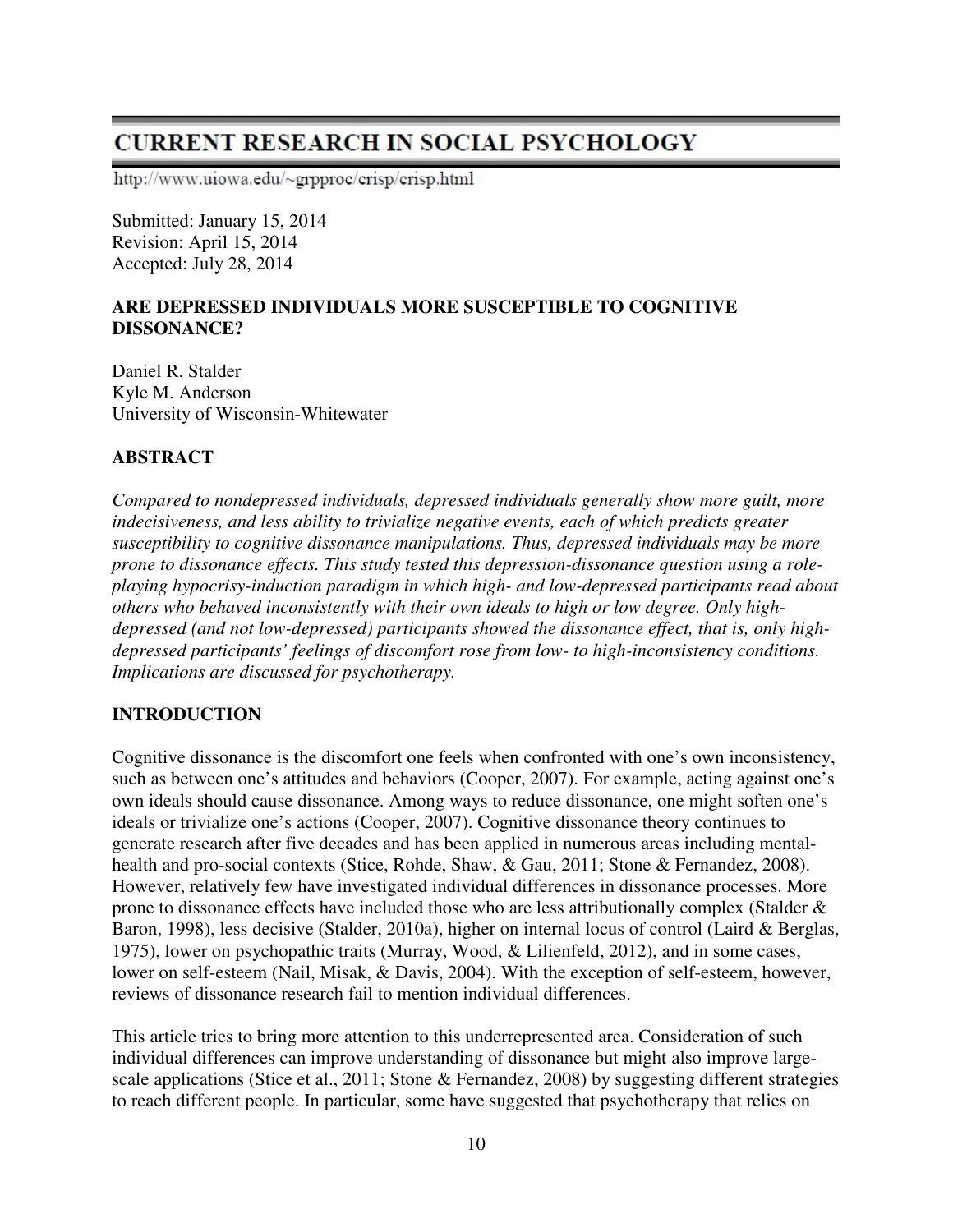# **CURRENT RESEARCH IN SOCIAL PSYCHOLOGY**

http://www.uiowa.edu/~grpproc/crisp/crisp.html

Submitted: January 15, 2014 Revision: April 15, 2014 Accepted: July 28, 2014

# **ARE DEPRESSED INDIVIDUALS MORE SUSCEPTIBLE TO COGNITIVE DISSONANCE?**

Daniel R. Stalder Kyle M. Anderson University of Wisconsin-Whitewater

# **ABSTRACT**

*Compared to nondepressed individuals, depressed individuals generally show more guilt, more indecisiveness, and less ability to trivialize negative events, each of which predicts greater susceptibility to cognitive dissonance manipulations. Thus, depressed individuals may be more prone to dissonance effects. This study tested this depression-dissonance question using a roleplaying hypocrisy-induction paradigm in which high- and low-depressed participants read about others who behaved inconsistently with their own ideals to high or low degree. Only highdepressed (and not low-depressed) participants showed the dissonance effect, that is, only highdepressed participants' feelings of discomfort rose from low- to high-inconsistency conditions. Implications are discussed for psychotherapy.* 

# **INTRODUCTION**

Cognitive dissonance is the discomfort one feels when confronted with one's own inconsistency, such as between one's attitudes and behaviors (Cooper, 2007). For example, acting against one's own ideals should cause dissonance. Among ways to reduce dissonance, one might soften one's ideals or trivialize one's actions (Cooper, 2007). Cognitive dissonance theory continues to generate research after five decades and has been applied in numerous areas including mentalhealth and pro-social contexts (Stice, Rohde, Shaw, & Gau, 2011; Stone & Fernandez, 2008). However, relatively few have investigated individual differences in dissonance processes. More prone to dissonance effects have included those who are less attributionally complex (Stalder & Baron, 1998), less decisive (Stalder, 2010a), higher on internal locus of control (Laird & Berglas, 1975), lower on psychopathic traits (Murray, Wood, & Lilienfeld, 2012), and in some cases, lower on self-esteem (Nail, Misak, & Davis, 2004). With the exception of self-esteem, however, reviews of dissonance research fail to mention individual differences.

This article tries to bring more attention to this underrepresented area. Consideration of such individual differences can improve understanding of dissonance but might also improve largescale applications (Stice et al., 2011; Stone & Fernandez, 2008) by suggesting different strategies to reach different people. In particular, some have suggested that psychotherapy that relies on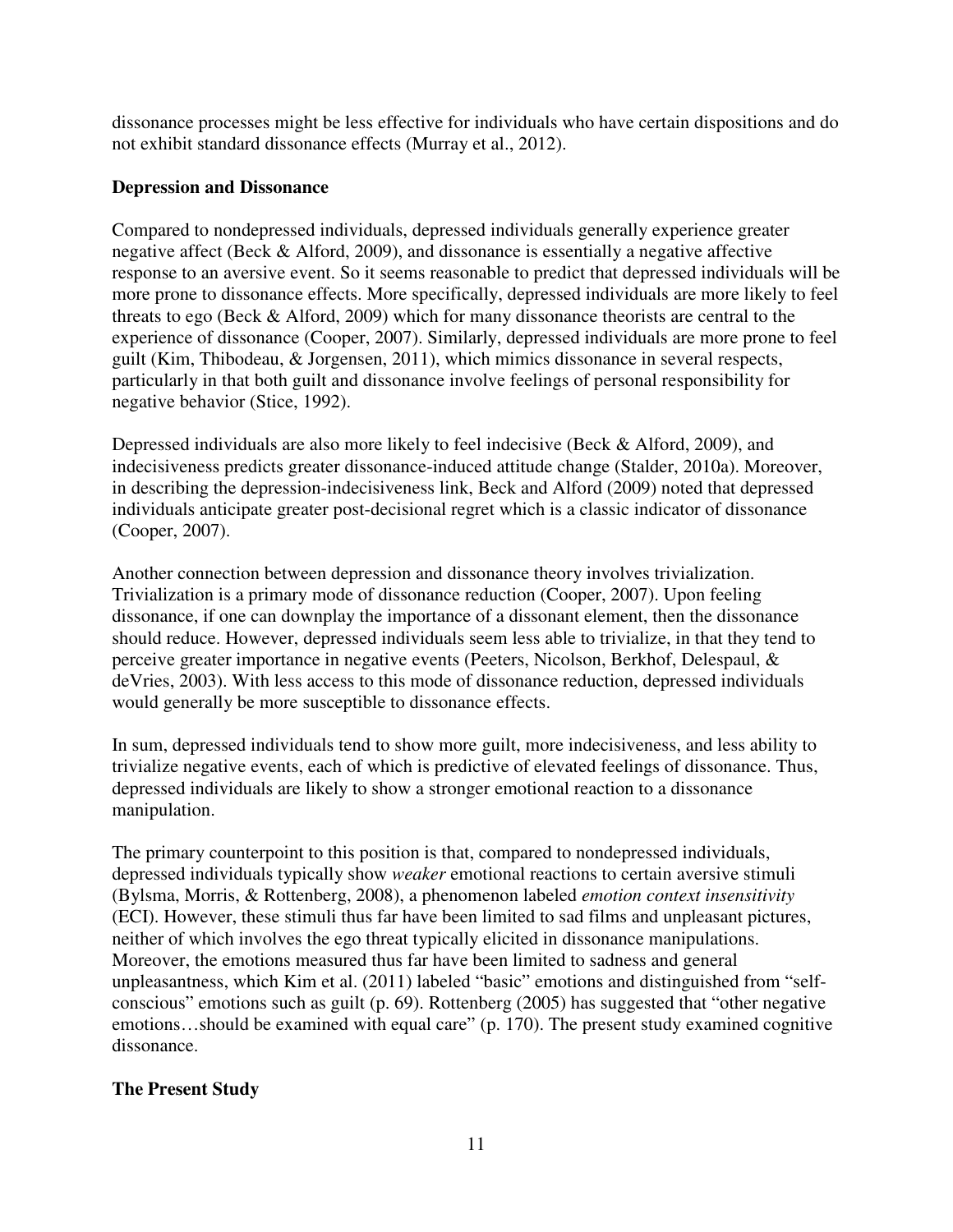dissonance processes might be less effective for individuals who have certain dispositions and do not exhibit standard dissonance effects (Murray et al., 2012).

#### **Depression and Dissonance**

Compared to nondepressed individuals, depressed individuals generally experience greater negative affect (Beck & Alford, 2009), and dissonance is essentially a negative affective response to an aversive event. So it seems reasonable to predict that depressed individuals will be more prone to dissonance effects. More specifically, depressed individuals are more likely to feel threats to ego (Beck & Alford, 2009) which for many dissonance theorists are central to the experience of dissonance (Cooper, 2007). Similarly, depressed individuals are more prone to feel guilt (Kim, Thibodeau, & Jorgensen, 2011), which mimics dissonance in several respects, particularly in that both guilt and dissonance involve feelings of personal responsibility for negative behavior (Stice, 1992).

Depressed individuals are also more likely to feel indecisive (Beck & Alford, 2009), and indecisiveness predicts greater dissonance-induced attitude change (Stalder, 2010a). Moreover, in describing the depression-indecisiveness link, Beck and Alford (2009) noted that depressed individuals anticipate greater post-decisional regret which is a classic indicator of dissonance (Cooper, 2007).

Another connection between depression and dissonance theory involves trivialization. Trivialization is a primary mode of dissonance reduction (Cooper, 2007). Upon feeling dissonance, if one can downplay the importance of a dissonant element, then the dissonance should reduce. However, depressed individuals seem less able to trivialize, in that they tend to perceive greater importance in negative events (Peeters, Nicolson, Berkhof, Delespaul, & deVries, 2003). With less access to this mode of dissonance reduction, depressed individuals would generally be more susceptible to dissonance effects.

In sum, depressed individuals tend to show more guilt, more indecisiveness, and less ability to trivialize negative events, each of which is predictive of elevated feelings of dissonance. Thus, depressed individuals are likely to show a stronger emotional reaction to a dissonance manipulation.

The primary counterpoint to this position is that, compared to nondepressed individuals, depressed individuals typically show *weaker* emotional reactions to certain aversive stimuli (Bylsma, Morris, & Rottenberg, 2008), a phenomenon labeled *emotion context insensitivity* (ECI). However, these stimuli thus far have been limited to sad films and unpleasant pictures, neither of which involves the ego threat typically elicited in dissonance manipulations. Moreover, the emotions measured thus far have been limited to sadness and general unpleasantness, which Kim et al. (2011) labeled "basic" emotions and distinguished from "selfconscious" emotions such as guilt (p. 69). Rottenberg (2005) has suggested that "other negative emotions...should be examined with equal care" (p. 170). The present study examined cognitive dissonance.

# **The Present Study**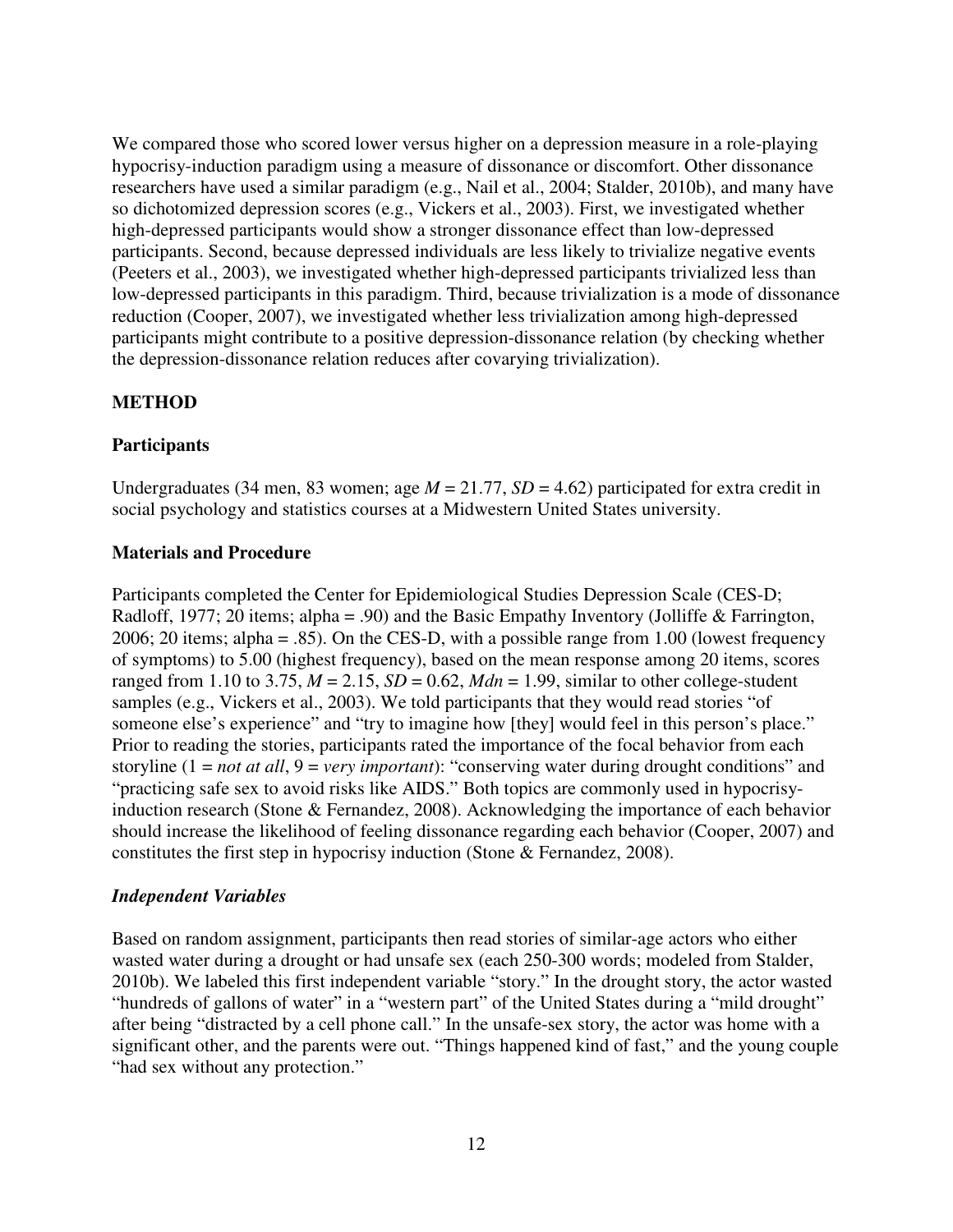We compared those who scored lower versus higher on a depression measure in a role-playing hypocrisy-induction paradigm using a measure of dissonance or discomfort. Other dissonance researchers have used a similar paradigm (e.g., Nail et al., 2004; Stalder, 2010b), and many have so dichotomized depression scores (e.g., Vickers et al., 2003). First, we investigated whether high-depressed participants would show a stronger dissonance effect than low-depressed participants. Second, because depressed individuals are less likely to trivialize negative events (Peeters et al., 2003), we investigated whether high-depressed participants trivialized less than low-depressed participants in this paradigm. Third, because trivialization is a mode of dissonance reduction (Cooper, 2007), we investigated whether less trivialization among high-depressed participants might contribute to a positive depression-dissonance relation (by checking whether the depression-dissonance relation reduces after covarying trivialization).

#### **METHOD**

#### **Participants**

Undergraduates (34 men, 83 women; age *M* = 21.77, *SD* = 4.62) participated for extra credit in social psychology and statistics courses at a Midwestern United States university.

#### **Materials and Procedure**

Participants completed the Center for Epidemiological Studies Depression Scale (CES-D; Radloff, 1977; 20 items; alpha = .90) and the Basic Empathy Inventory (Jolliffe & Farrington, 2006; 20 items; alpha = .85). On the CES-D, with a possible range from 1.00 (lowest frequency of symptoms) to 5.00 (highest frequency), based on the mean response among 20 items, scores ranged from 1.10 to 3.75,  $M = 2.15$ ,  $SD = 0.62$ ,  $Mdn = 1.99$ , similar to other college-student samples (e.g., Vickers et al., 2003). We told participants that they would read stories "of someone else's experience" and "try to imagine how [they] would feel in this person's place." Prior to reading the stories, participants rated the importance of the focal behavior from each storyline (1 = *not at all*, 9 = *very important*): "conserving water during drought conditions" and "practicing safe sex to avoid risks like AIDS." Both topics are commonly used in hypocrisyinduction research (Stone & Fernandez, 2008). Acknowledging the importance of each behavior should increase the likelihood of feeling dissonance regarding each behavior (Cooper, 2007) and constitutes the first step in hypocrisy induction (Stone & Fernandez, 2008).

#### *Independent Variables*

Based on random assignment, participants then read stories of similar-age actors who either wasted water during a drought or had unsafe sex (each 250-300 words; modeled from Stalder, 2010b). We labeled this first independent variable "story." In the drought story, the actor wasted "hundreds of gallons of water" in a "western part" of the United States during a "mild drought" after being "distracted by a cell phone call." In the unsafe-sex story, the actor was home with a significant other, and the parents were out. "Things happened kind of fast," and the young couple "had sex without any protection."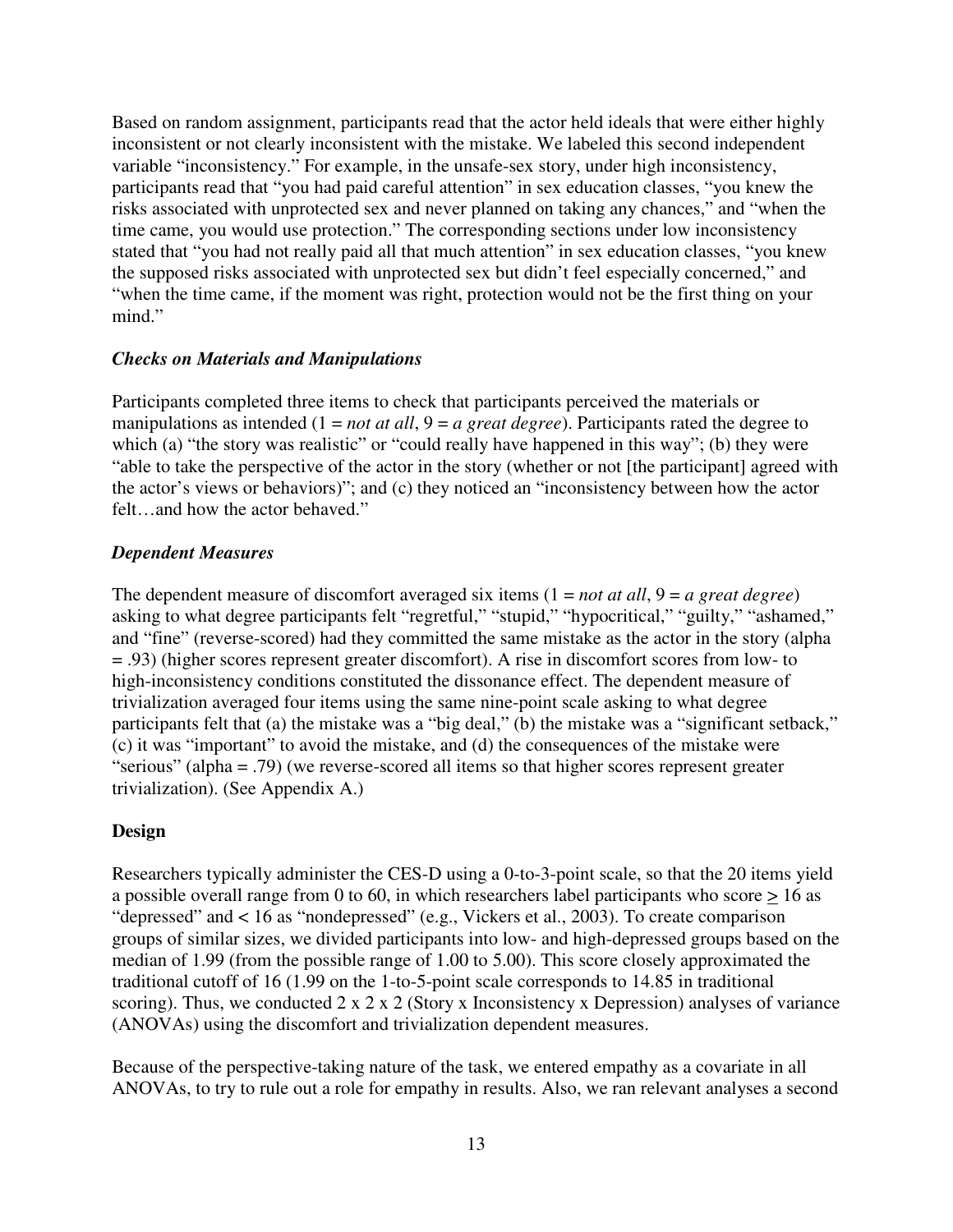Based on random assignment, participants read that the actor held ideals that were either highly inconsistent or not clearly inconsistent with the mistake. We labeled this second independent variable "inconsistency." For example, in the unsafe-sex story, under high inconsistency, participants read that "you had paid careful attention" in sex education classes, "you knew the risks associated with unprotected sex and never planned on taking any chances," and "when the time came, you would use protection." The corresponding sections under low inconsistency stated that "you had not really paid all that much attention" in sex education classes, "you knew the supposed risks associated with unprotected sex but didn't feel especially concerned," and "when the time came, if the moment was right, protection would not be the first thing on your mind."

#### *Checks on Materials and Manipulations*

Participants completed three items to check that participants perceived the materials or manipulations as intended (1 = *not at all*, 9 = *a great degree*). Participants rated the degree to which (a) "the story was realistic" or "could really have happened in this way"; (b) they were "able to take the perspective of the actor in the story (whether or not [the participant] agreed with the actor's views or behaviors)"; and (c) they noticed an "inconsistency between how the actor felt…and how the actor behaved."

#### *Dependent Measures*

The dependent measure of discomfort averaged six items (1 = *not at all*, 9 = *a great degree*) asking to what degree participants felt "regretful," "stupid," "hypocritical," "guilty," "ashamed," and "fine" (reverse-scored) had they committed the same mistake as the actor in the story (alpha = .93) (higher scores represent greater discomfort). A rise in discomfort scores from low- to high-inconsistency conditions constituted the dissonance effect. The dependent measure of trivialization averaged four items using the same nine-point scale asking to what degree participants felt that (a) the mistake was a "big deal," (b) the mistake was a "significant setback," (c) it was "important" to avoid the mistake, and (d) the consequences of the mistake were "serious" (alpha = .79) (we reverse-scored all items so that higher scores represent greater trivialization). (See Appendix A.)

# **Design**

Researchers typically administer the CES-D using a 0-to-3-point scale, so that the 20 items yield a possible overall range from 0 to 60, in which researchers label participants who score  $\geq 16$  as "depressed" and < 16 as "nondepressed" (e.g., Vickers et al., 2003). To create comparison groups of similar sizes, we divided participants into low- and high-depressed groups based on the median of 1.99 (from the possible range of 1.00 to 5.00). This score closely approximated the traditional cutoff of 16 (1.99 on the 1-to-5-point scale corresponds to 14.85 in traditional scoring). Thus, we conducted  $2 \times 2 \times 2$  (Story x Inconsistency x Depression) analyses of variance (ANOVAs) using the discomfort and trivialization dependent measures.

Because of the perspective-taking nature of the task, we entered empathy as a covariate in all ANOVAs, to try to rule out a role for empathy in results. Also, we ran relevant analyses a second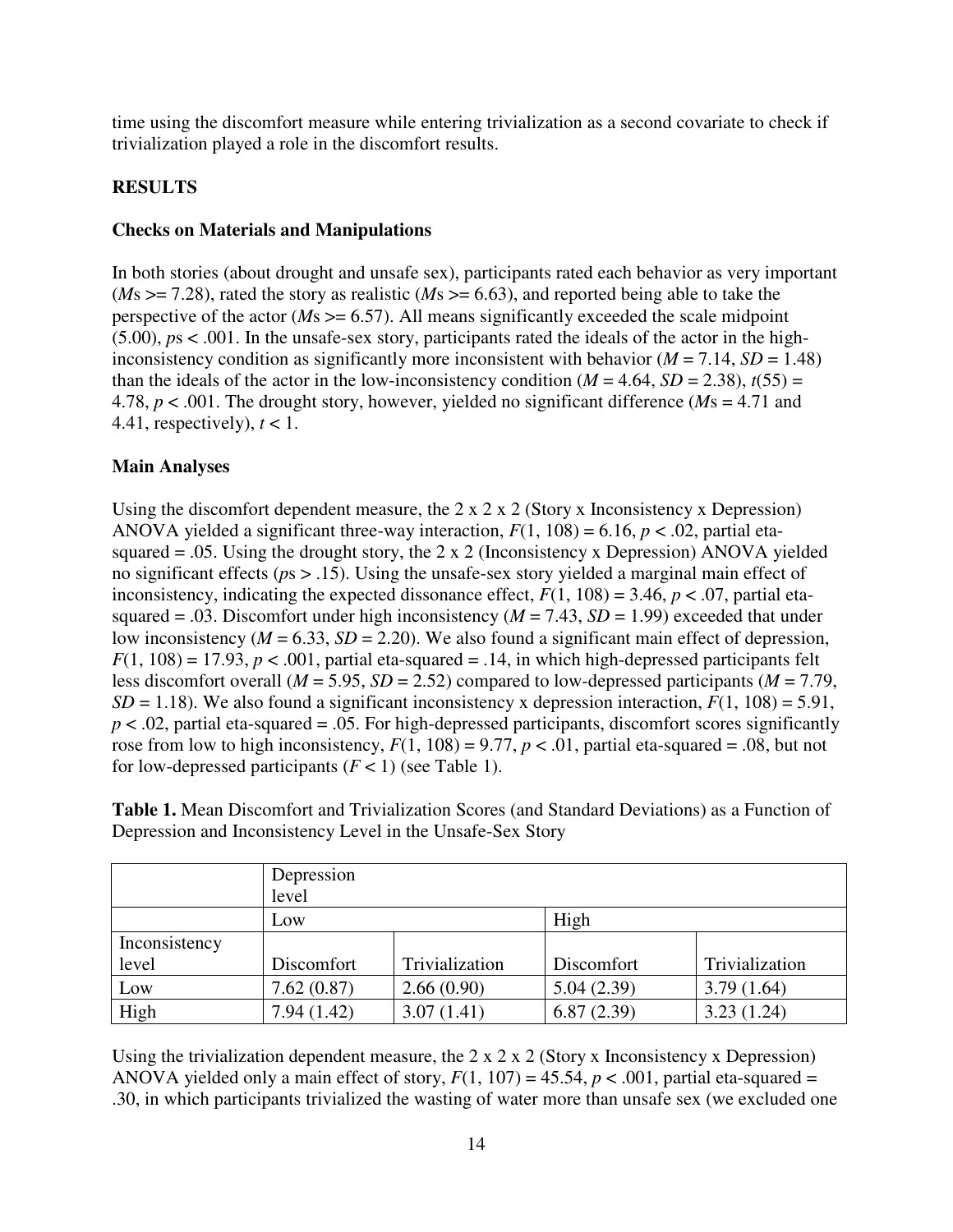time using the discomfort measure while entering trivialization as a second covariate to check if trivialization played a role in the discomfort results.

# **RESULTS**

# **Checks on Materials and Manipulations**

In both stories (about drought and unsafe sex), participants rated each behavior as very important (*M*s >= 7.28), rated the story as realistic (*M*s >= 6.63), and reported being able to take the perspective of the actor ( $Ms \ge 6.57$ ). All means significantly exceeded the scale midpoint (5.00), *p*s < .001. In the unsafe-sex story, participants rated the ideals of the actor in the highinconsistency condition as significantly more inconsistent with behavior  $(M = 7.14, SD = 1.48)$ than the ideals of the actor in the low-inconsistency condition  $(M = 4.64, SD = 2.38)$ ,  $t(55) =$ 4.78, *p* < .001. The drought story, however, yielded no significant difference (*M*s = 4.71 and 4.41, respectively),  $t < 1$ .

# **Main Analyses**

Using the discomfort dependent measure, the 2 x 2 x 2 (Story x Inconsistency x Depression) ANOVA yielded a significant three-way interaction,  $F(1, 108) = 6.16$ ,  $p < .02$ , partial etasquared  $= .05$ . Using the drought story, the 2 x 2 (Inconsistency x Depression) ANOVA yielded no significant effects (*p*s > .15). Using the unsafe-sex story yielded a marginal main effect of inconsistency, indicating the expected dissonance effect,  $F(1, 108) = 3.46$ ,  $p < .07$ , partial etasquared = .03. Discomfort under high inconsistency ( $M = 7.43$ ,  $SD = 1.99$ ) exceeded that under low inconsistency  $(M = 6.33, SD = 2.20)$ . We also found a significant main effect of depression,  $F(1, 108) = 17.93$ ,  $p < .001$ , partial eta-squared = .14, in which high-depressed participants felt less discomfort overall (*M* = 5.95, *SD* = 2.52) compared to low-depressed participants (*M* = 7.79,  $SD = 1.18$ ). We also found a significant inconsistency x depression interaction,  $F(1, 108) = 5.91$ ,  $p < .02$ , partial eta-squared = .05. For high-depressed participants, discomfort scores significantly rose from low to high inconsistency,  $F(1, 108) = 9.77$ ,  $p < .01$ , partial eta-squared = .08, but not for low-depressed participants  $(F < 1)$  (see Table 1).

**Table 1.** Mean Discomfort and Trivialization Scores (and Standard Deviations) as a Function of Depression and Inconsistency Level in the Unsafe-Sex Story

|               | Depression |                |            |                |  |  |  |  |  |
|---------------|------------|----------------|------------|----------------|--|--|--|--|--|
|               | level      |                |            |                |  |  |  |  |  |
|               | Low        |                | High       |                |  |  |  |  |  |
| Inconsistency |            |                |            |                |  |  |  |  |  |
| level         | Discomfort | Trivialization | Discomfort | Trivialization |  |  |  |  |  |
| Low           | 7.62(0.87) | 2.66(0.90)     | 5.04(2.39) | 3.79(1.64)     |  |  |  |  |  |
| High          | 7.94(1.42) | 3.07(1.41)     | 6.87(2.39) | 3.23(1.24)     |  |  |  |  |  |

Using the trivialization dependent measure, the  $2 \times 2 \times 2$  (Story x Inconsistency x Depression) ANOVA vielded only a main effect of story,  $F(1, 107) = 45.54$ ,  $p < .001$ , partial eta-squared = .30, in which participants trivialized the wasting of water more than unsafe sex (we excluded one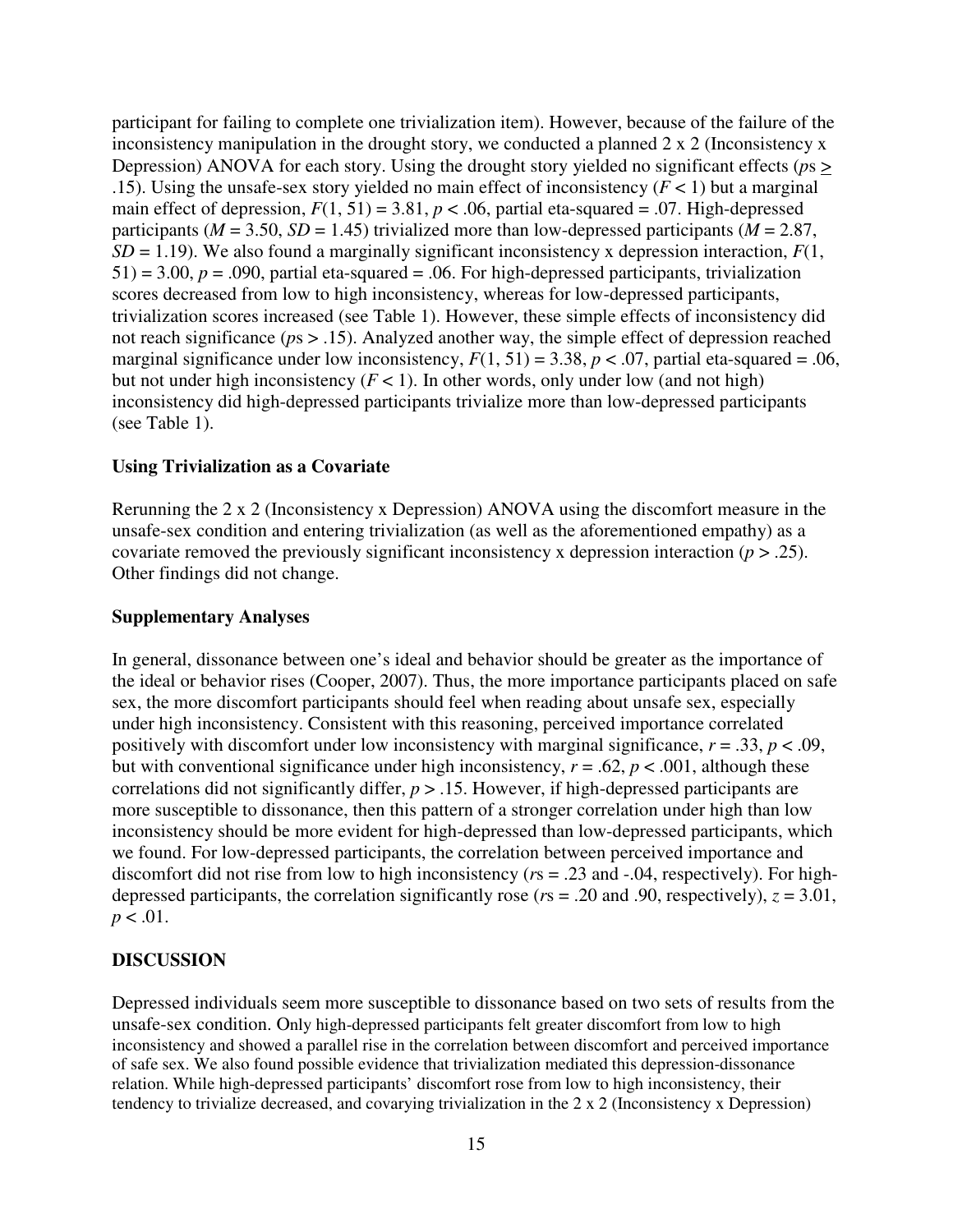participant for failing to complete one trivialization item). However, because of the failure of the inconsistency manipulation in the drought story, we conducted a planned 2 x 2 (Inconsistency x Depression) ANOVA for each story. Using the drought story yielded no significant effects (*p*s > .15). Using the unsafe-sex story yielded no main effect of inconsistency  $(F < 1)$  but a marginal main effect of depression,  $F(1, 51) = 3.81$ ,  $p < .06$ , partial eta-squared = .07. High-depressed participants ( $M = 3.50$ ,  $SD = 1.45$ ) trivialized more than low-depressed participants ( $M = 2.87$ ,  $SD = 1.19$ ). We also found a marginally significant inconsistency x depression interaction,  $F(1, 1)$  $51$ ) = 3.00,  $p = .090$ , partial eta-squared = .06. For high-depressed participants, trivialization scores decreased from low to high inconsistency, whereas for low-depressed participants, trivialization scores increased (see Table 1). However, these simple effects of inconsistency did not reach significance (*p*s > .15). Analyzed another way, the simple effect of depression reached marginal significance under low inconsistency,  $F(1, 51) = 3.38$ ,  $p < .07$ , partial eta-squared = .06, but not under high inconsistency  $(F < 1)$ . In other words, only under low (and not high) inconsistency did high-depressed participants trivialize more than low-depressed participants (see Table 1).

#### **Using Trivialization as a Covariate**

Rerunning the 2 x 2 (Inconsistency x Depression) ANOVA using the discomfort measure in the unsafe-sex condition and entering trivialization (as well as the aforementioned empathy) as a covariate removed the previously significant inconsistency x depression interaction (*p* > .25). Other findings did not change.

#### **Supplementary Analyses**

In general, dissonance between one's ideal and behavior should be greater as the importance of the ideal or behavior rises (Cooper, 2007). Thus, the more importance participants placed on safe sex, the more discomfort participants should feel when reading about unsafe sex, especially under high inconsistency. Consistent with this reasoning, perceived importance correlated positively with discomfort under low inconsistency with marginal significance,  $r = .33$ ,  $p < .09$ , but with conventional significance under high inconsistency,  $r = .62$ ,  $p < .001$ , although these correlations did not significantly differ, *p* > .15. However, if high-depressed participants are more susceptible to dissonance, then this pattern of a stronger correlation under high than low inconsistency should be more evident for high-depressed than low-depressed participants, which we found. For low-depressed participants, the correlation between perceived importance and discomfort did not rise from low to high inconsistency (*r*s = .23 and -.04, respectively). For highdepressed participants, the correlation significantly rose ( $rs = .20$  and .90, respectively),  $z = 3.01$ ,  $p < .01$ .

#### **DISCUSSION**

Depressed individuals seem more susceptible to dissonance based on two sets of results from the unsafe-sex condition. Only high-depressed participants felt greater discomfort from low to high inconsistency and showed a parallel rise in the correlation between discomfort and perceived importance of safe sex. We also found possible evidence that trivialization mediated this depression-dissonance relation. While high-depressed participants' discomfort rose from low to high inconsistency, their tendency to trivialize decreased, and covarying trivialization in the 2 x 2 (Inconsistency x Depression)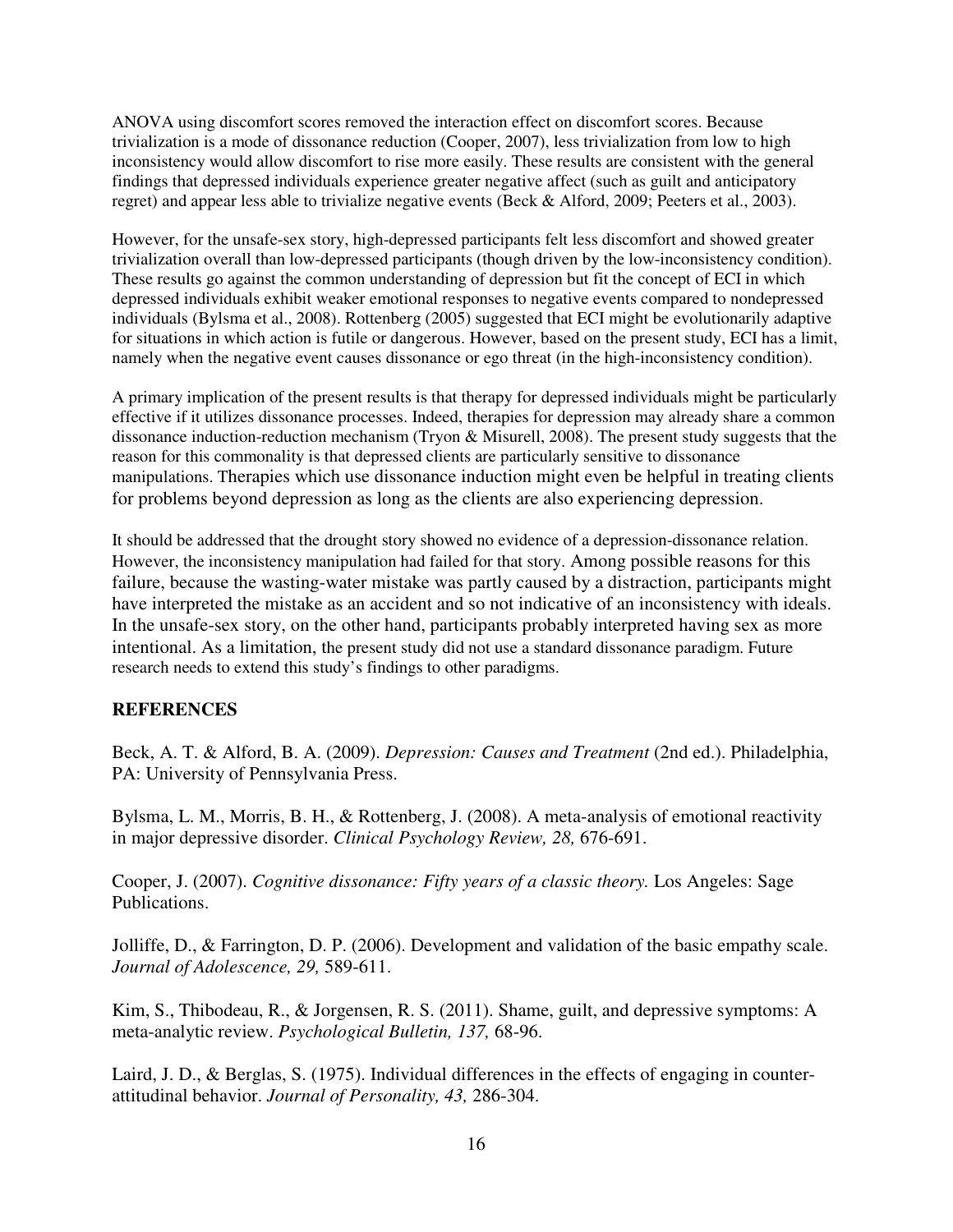ANOVA using discomfort scores removed the interaction effect on discomfort scores. Because trivialization is a mode of dissonance reduction (Cooper, 2007), less trivialization from low to high inconsistency would allow discomfort to rise more easily. These results are consistent with the general findings that depressed individuals experience greater negative affect (such as guilt and anticipatory regret) and appear less able to trivialize negative events (Beck & Alford, 2009; Peeters et al., 2003).

However, for the unsafe-sex story, high-depressed participants felt less discomfort and showed greater trivialization overall than low-depressed participants (though driven by the low-inconsistency condition). These results go against the common understanding of depression but fit the concept of ECI in which depressed individuals exhibit weaker emotional responses to negative events compared to nondepressed individuals (Bylsma et al., 2008). Rottenberg (2005) suggested that ECI might be evolutionarily adaptive for situations in which action is futile or dangerous. However, based on the present study, ECI has a limit, namely when the negative event causes dissonance or ego threat (in the high-inconsistency condition).

A primary implication of the present results is that therapy for depressed individuals might be particularly effective if it utilizes dissonance processes. Indeed, therapies for depression may already share a common dissonance induction-reduction mechanism (Tryon & Misurell, 2008). The present study suggests that the reason for this commonality is that depressed clients are particularly sensitive to dissonance manipulations. Therapies which use dissonance induction might even be helpful in treating clients for problems beyond depression as long as the clients are also experiencing depression.

It should be addressed that the drought story showed no evidence of a depression-dissonance relation. However, the inconsistency manipulation had failed for that story. Among possible reasons for this failure, because the wasting-water mistake was partly caused by a distraction, participants might have interpreted the mistake as an accident and so not indicative of an inconsistency with ideals. In the unsafe-sex story, on the other hand, participants probably interpreted having sex as more intentional. As a limitation, the present study did not use a standard dissonance paradigm. Future research needs to extend this study's findings to other paradigms.

# **REFERENCES**

Beck, A. T. & Alford, B. A. (2009). *Depression: Causes and Treatment* (2nd ed.). Philadelphia, PA: University of Pennsylvania Press.

Bylsma, L. M., Morris, B. H., & Rottenberg, J. (2008). A meta-analysis of emotional reactivity in major depressive disorder. *Clinical Psychology Review, 28,* 676-691.

Cooper, J. (2007). *Cognitive dissonance: Fifty years of a classic theory.* Los Angeles: Sage Publications.

Jolliffe, D., & Farrington, D. P. (2006). Development and validation of the basic empathy scale. *Journal of Adolescence, 29,* 589-611.

Kim, S., Thibodeau, R., & Jorgensen, R. S. (2011). Shame, guilt, and depressive symptoms: A meta-analytic review. *Psychological Bulletin, 137,* 68-96.

Laird, J. D., & Berglas, S. (1975). Individual differences in the effects of engaging in counterattitudinal behavior. *Journal of Personality, 43,* 286-304.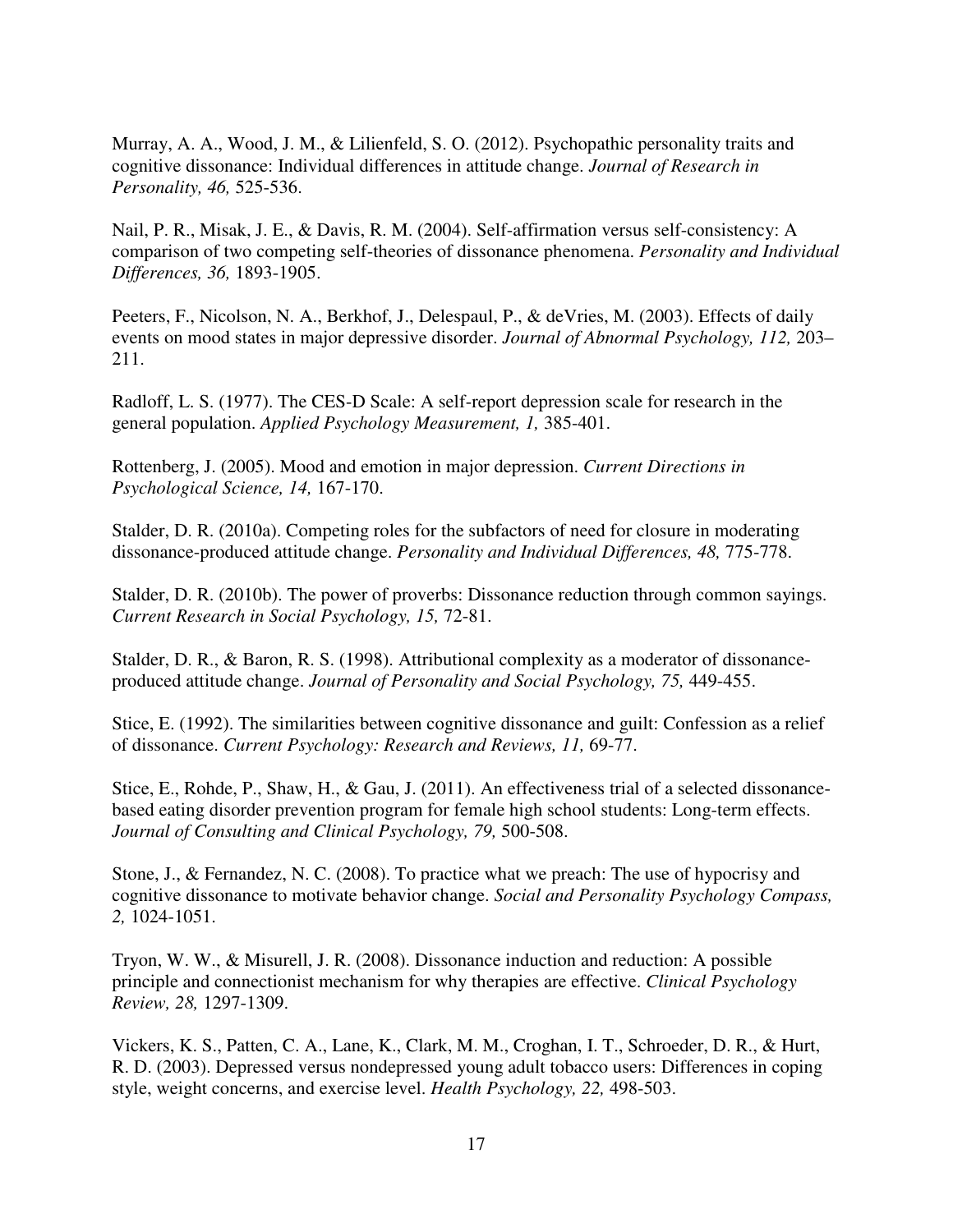Murray, A. A., Wood, J. M., & Lilienfeld, S. O. (2012). Psychopathic personality traits and cognitive dissonance: Individual differences in attitude change. *Journal of Research in Personality, 46,* 525-536.

Nail, P. R., Misak, J. E., & Davis, R. M. (2004). Self-affirmation versus self-consistency: A comparison of two competing self-theories of dissonance phenomena. *Personality and Individual Differences, 36,* 1893-1905.

Peeters, F., Nicolson, N. A., Berkhof, J., Delespaul, P., & deVries, M. (2003). Effects of daily events on mood states in major depressive disorder. *Journal of Abnormal Psychology, 112,* 203– 211.

Radloff, L. S. (1977). The CES-D Scale: A self-report depression scale for research in the general population. *Applied Psychology Measurement, 1,* 385-401.

Rottenberg, J. (2005). Mood and emotion in major depression. *Current Directions in Psychological Science, 14,* 167-170.

Stalder, D. R. (2010a). Competing roles for the subfactors of need for closure in moderating dissonance-produced attitude change. *Personality and Individual Differences, 48,* 775-778.

Stalder, D. R. (2010b). The power of proverbs: Dissonance reduction through common sayings. *Current Research in Social Psychology, 15,* 72-81.

Stalder, D. R., & Baron, R. S. (1998). Attributional complexity as a moderator of dissonanceproduced attitude change. *Journal of Personality and Social Psychology, 75,* 449-455.

Stice, E. (1992). The similarities between cognitive dissonance and guilt: Confession as a relief of dissonance. *Current Psychology: Research and Reviews, 11,* 69-77.

Stice, E., Rohde, P., Shaw, H., & Gau, J. (2011). An effectiveness trial of a selected dissonancebased eating disorder prevention program for female high school students: Long-term effects. *Journal of Consulting and Clinical Psychology, 79,* 500-508.

Stone, J., & Fernandez, N. C. (2008). To practice what we preach: The use of hypocrisy and cognitive dissonance to motivate behavior change. *Social and Personality Psychology Compass, 2,* 1024-1051.

Tryon, W. W., & Misurell, J. R. (2008). Dissonance induction and reduction: A possible principle and connectionist mechanism for why therapies are effective. *Clinical Psychology Review, 28,* 1297-1309.

Vickers, K. S., Patten, C. A., Lane, K., Clark, M. M., Croghan, I. T., Schroeder, D. R., & Hurt, R. D. (2003). Depressed versus nondepressed young adult tobacco users: Differences in coping style, weight concerns, and exercise level. *Health Psychology, 22,* 498-503.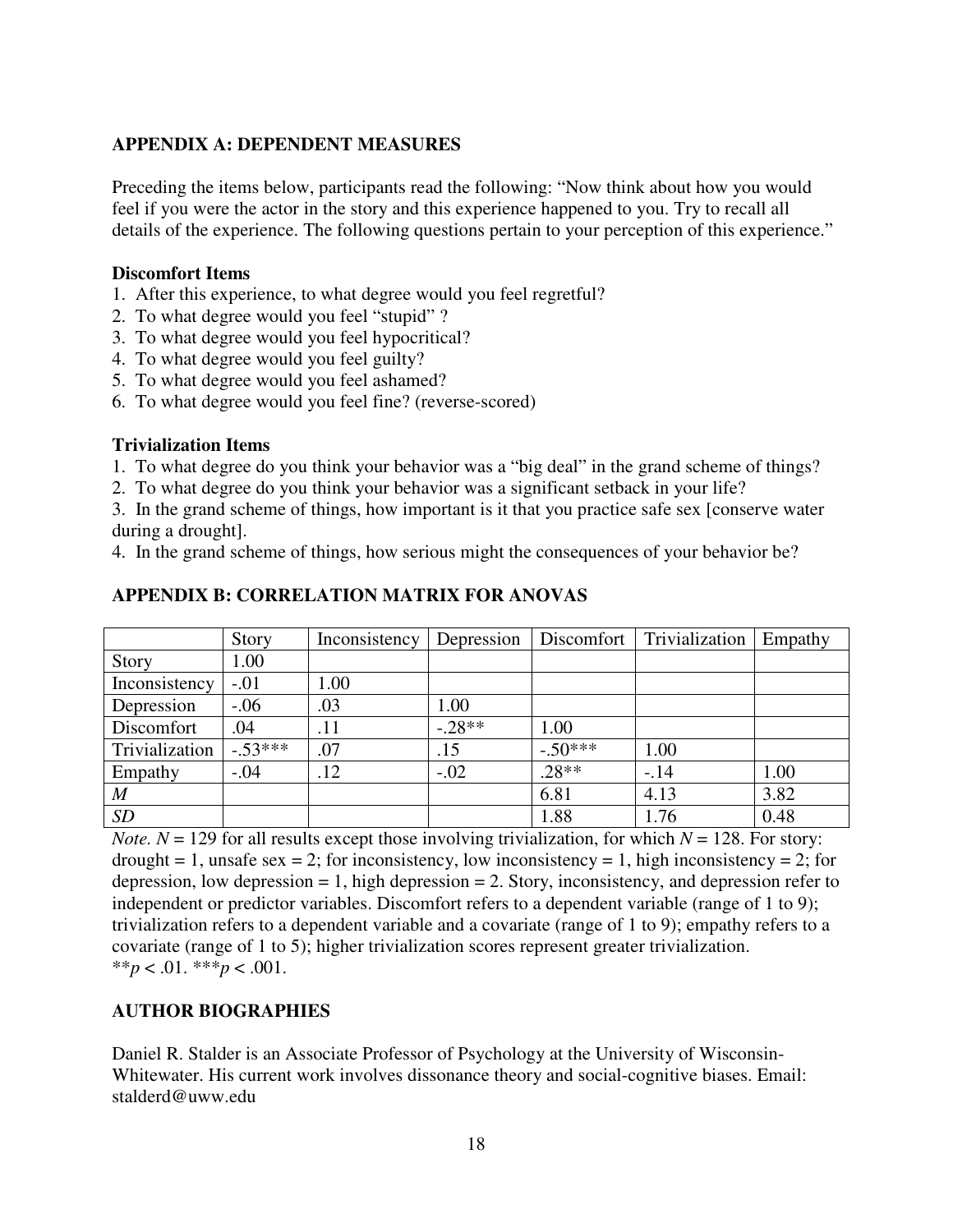#### **APPENDIX A: DEPENDENT MEASURES**

Preceding the items below, participants read the following: "Now think about how you would feel if you were the actor in the story and this experience happened to you. Try to recall all details of the experience. The following questions pertain to your perception of this experience."

#### **Discomfort Items**

- 1. After this experience, to what degree would you feel regretful?
- 2. To what degree would you feel "stupid" ?
- 3. To what degree would you feel hypocritical?
- 4. To what degree would you feel guilty?
- 5. To what degree would you feel ashamed?
- 6. To what degree would you feel fine? (reverse-scored)

#### **Trivialization Items**

- 1. To what degree do you think your behavior was a "big deal" in the grand scheme of things?
- 2. To what degree do you think your behavior was a significant setback in your life?

3. In the grand scheme of things, how important is it that you practice safe sex [conserve water during a drought].

4. In the grand scheme of things, how serious might the consequences of your behavior be?

|                  | Story     | Inconsistency | Depression |           | Discomfort   Trivialization | Empathy |
|------------------|-----------|---------------|------------|-----------|-----------------------------|---------|
| Story            | 1.00      |               |            |           |                             |         |
| Inconsistency    | $-.01$    | 1.00          |            |           |                             |         |
| Depression       | $-.06$    | .03           | 1.00       |           |                             |         |
| Discomfort       | .04       | .11           | $-.28**$   | 1.00      |                             |         |
| Trivialization   | $-.53***$ | .07           | .15        | $-.50***$ | 1.00                        |         |
| Empathy          | $-.04$    | .12           | $-.02$     | $.28**$   | $-14$                       | 1.00    |
| $\boldsymbol{M}$ |           |               |            | 6.81      | 4.13                        | 3.82    |
| SD               |           |               |            | 1.88      | 1.76                        | 0.48    |

#### **APPENDIX B: CORRELATION MATRIX FOR ANOVAS**

*Note.*  $N = 129$  for all results except those involving trivialization, for which  $N = 128$ . For story: drought = 1, unsafe sex = 2; for inconsistency, low inconsistency = 1, high inconsistency = 2; for depression, low depression  $= 1$ , high depression  $= 2$ . Story, inconsistency, and depression refer to independent or predictor variables. Discomfort refers to a dependent variable (range of 1 to 9); trivialization refers to a dependent variable and a covariate (range of 1 to 9); empathy refers to a covariate (range of 1 to 5); higher trivialization scores represent greater trivialization. \*\**p* < .01. \*\*\**p* < .001.

# **AUTHOR BIOGRAPHIES**

Daniel R. Stalder is an Associate Professor of Psychology at the University of Wisconsin-Whitewater. His current work involves dissonance theory and social-cognitive biases. Email: stalderd@uww.edu